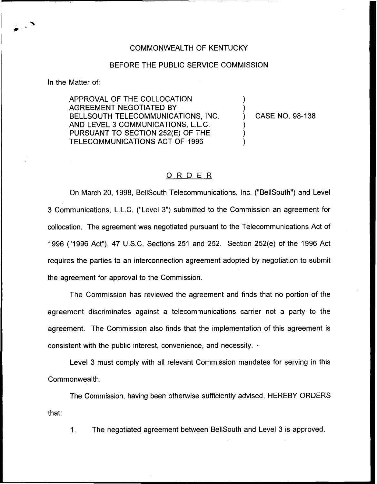## COMMONWEALTH OF KENTUCKY

## BEFORE THE PUBLIC SERVICE COMMISSION

In the Matter of:

APPROVAL OF THE COLLOCATION AGREEMENT NEGOTIATED BY BELLSOUTH TELECOMMUNICATIONS, INC. AND LEVEL 3 COMMUNICATIONS, L.L.C. PURSUANT TO SECTION 252(E) OF THE TELECOMMUNICATIONS ACT OF 1996

) CASE NO. 98-138

) )

) ) )

## ORDER

On March 20, 1998, BellSouth Telecommunications, Inc. ("BellSouth") and Level 3 Communications, L.L.C. ("Level 3") submitted to the Commission an agreement for collocation. The agreement was negotiated pursuant to the Telecommunications Act of 1996 ("1996Act"), 47 U.S.C. Sections 251 and 252. Section 252(e) of the 1996 Act requires the parties to an interconnection agreement adopted by negotiation to submit the agreement for approval to the Commission.

The Commission has reviewed the agreement and finds that no portion of the agreement discriminates against a telecommunications carrier not a party to the agreement. The Commission also finds that the implementation of this agreement is consistent with the public interest, convenience, and necessity.  $\sim$ 

Level 3 must comply with all relevant Commission mandates for serving in this Commonwealth.

The Commission, having been otherwise sufficiently advised, HEREBY ORDERS that:

1. The negotiated agreement between BellSouth and Level 3 is approved.